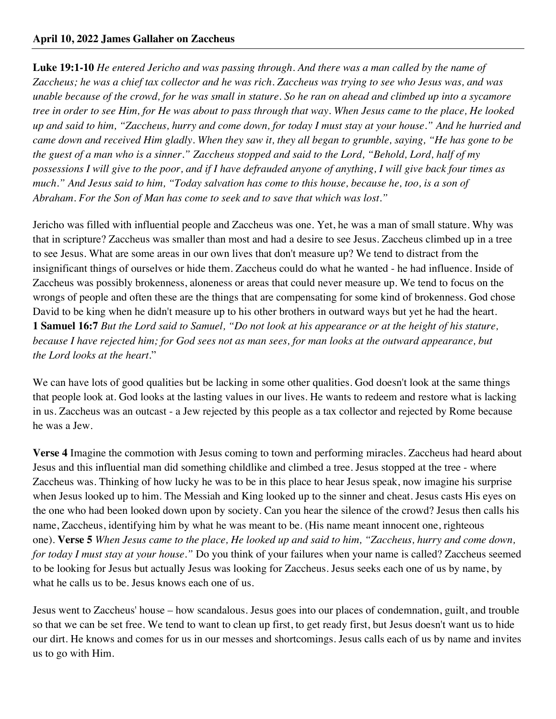**Luke 19:1-10** *He entered Jericho and was passing through. And there was a man called by the name of Zaccheus; he was a chief tax collector and he was rich. Zaccheus was trying to see who Jesus was, and was unable because of the crowd, for he was small in stature. So he ran on ahead and climbed up into a sycamore tree in order to see Him, for He was about to pass through that way. When Jesus came to the place, He looked up and said to him, "Zaccheus, hurry and come down, for today I must stay at your house." And he hurried and came down and received Him gladly. When they saw it, they all began to grumble, saying, "He has gone to be the guest of a man who is a sinner." Zaccheus stopped and said to the Lord, "Behold, Lord, half of my possessions I will give to the poor, and if I have defrauded anyone of anything, I will give back four times as much." And Jesus said to him, "Today salvation has come to this house, because he, too, is a son of Abraham. For the Son of Man has come to seek and to save that which was lost."*

Jericho was filled with influential people and Zaccheus was one. Yet, he was a man of small stature. Why was that in scripture? Zaccheus was smaller than most and had a desire to see Jesus. Zaccheus climbed up in a tree to see Jesus. What are some areas in our own lives that don't measure up? We tend to distract from the insignificant things of ourselves or hide them. Zaccheus could do what he wanted - he had influence. Inside of Zaccheus was possibly brokenness, aloneness or areas that could never measure up. We tend to focus on the wrongs of people and often these are the things that are compensating for some kind of brokenness. God chose David to be king when he didn't measure up to his other brothers in outward ways but yet he had the heart. **1 Samuel 16:7** *But the Lord said to Samuel, "Do not look at his appearance or at the height of his stature, because I have rejected him; for God sees not as man sees, for man looks at the outward appearance, but the Lord looks at the heart.*"

We can have lots of good qualities but be lacking in some other qualities. God doesn't look at the same things that people look at. God looks at the lasting values in our lives. He wants to redeem and restore what is lacking in us. Zaccheus was an outcast - a Jew rejected by this people as a tax collector and rejected by Rome because he was a Jew.

**Verse 4** Imagine the commotion with Jesus coming to town and performing miracles. Zaccheus had heard about Jesus and this influential man did something childlike and climbed a tree. Jesus stopped at the tree - where Zaccheus was. Thinking of how lucky he was to be in this place to hear Jesus speak, now imagine his surprise when Jesus looked up to him. The Messiah and King looked up to the sinner and cheat. Jesus casts His eyes on the one who had been looked down upon by society. Can you hear the silence of the crowd? Jesus then calls his name, Zaccheus, identifying him by what he was meant to be. (His name meant innocent one, righteous one). **Verse 5** *When Jesus came to the place, He looked up and said to him, "Zaccheus, hurry and come down, for today I must stay at your house."* Do you think of your failures when your name is called? Zaccheus seemed to be looking for Jesus but actually Jesus was looking for Zaccheus. Jesus seeks each one of us by name, by what he calls us to be. Jesus knows each one of us.

Jesus went to Zaccheus' house – how scandalous. Jesus goes into our places of condemnation, guilt, and trouble so that we can be set free. We tend to want to clean up first, to get ready first, but Jesus doesn't want us to hide our dirt. He knows and comes for us in our messes and shortcomings. Jesus calls each of us by name and invites us to go with Him.